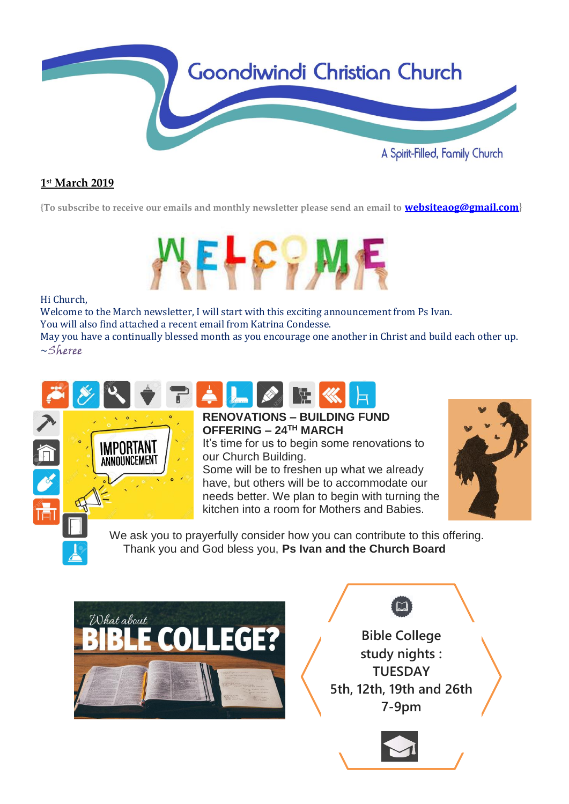

#### **1 st March 2019**

**{To subscribe to receive our emails and monthly newsletter please send an email to [websiteaog@gmail.com](mailto:websiteaog@gmail.com)}**



#### Hi Church,

Welcome to the March newsletter, I will start with this exciting announcement from Ps Ivan. You will also find attached a recent email from Katrina Condesse. May you have a continually blessed month as you encourage one another in Christ and build each other up. ~Sheree



**IMPORTANT** ANNOUNCEMENT **RENOVATIONS – BUILDING FUND OFFERING – 24TH MARCH**

It's time for us to begin some renovations to our Church Building.

Some will be to freshen up what we already have, but others will be to accommodate our needs better. We plan to begin with turning the kitchen into a room for Mothers and Babies.



We ask you to prayerfully consider how you can contribute to this offering. Thank you and God bless you, **Ps Ivan and the Church Board**



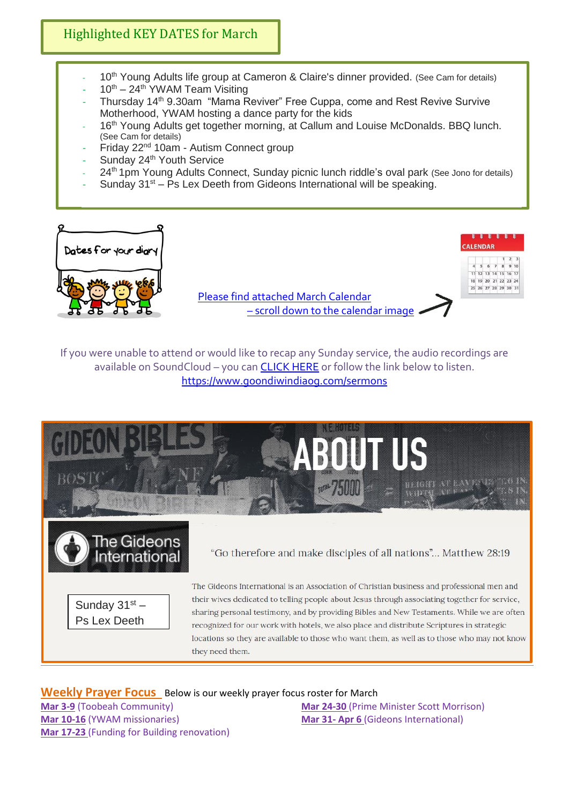- 10<sup>th</sup> Young Adults life group at Cameron & Claire's dinner provided. (See Cam for details)
- $10^{th} 24^{th}$  YWAM Team Visiting
- Thursday 14<sup>th</sup> 9.30am "Mama Reviver" Free Cuppa, come and Rest Revive Survive Motherhood, YWAM hosting a dance party for the kids
- 16<sup>th</sup> Young Adults get together morning, at Callum and Louise McDonalds. BBQ lunch. (See Cam for details)
- Friday 22<sup>nd</sup> 10am Autism Connect group
- Sunday 24<sup>th</sup> Youth Service
- 24<sup>th</sup> 1pm Young Adults Connect, Sunday picnic lunch riddle's oval park (See Jono for details)
- Sunday  $31^{st}$  Ps Lex Deeth from Gideons International will be speaking.





If you were unable to attend or would like to recap any Sunday service, the audio recordings are available on SoundCloud – you ca[n CLICK HERE](https://soundcloud.com/goondiwindi-aog) or follow the link below to listen. <https://www.goondiwindiaog.com/sermons>

[Please find attached March Calendar](https://www.goondiwindiaog.com/)



**Weekly Prayer Focus** Below is our weekly prayer focus roster for March

**Mar 3-9** (Toobeah Community) **Mar 10-16** (YWAM missionaries) **Mar 17-23** (Funding for Building renovation)

**Mar 24-30** (Prime Minister Scott Morrison) **Mar 31- Apr 6** (Gideons International)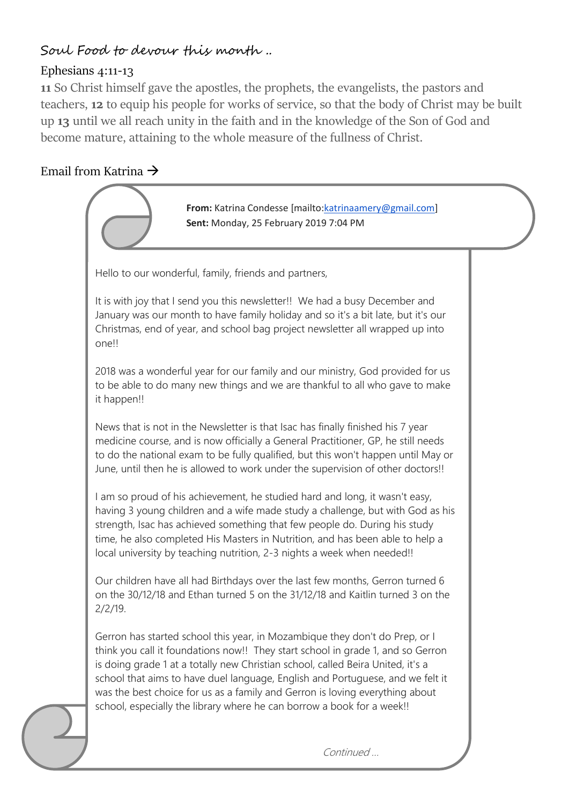## Soul Food to devour this month[.](https://www.biblestudytools.com/passage/?q=ephesians+4:11-13)

### [Ephesians 4:11-13](https://www.biblestudytools.com/passage/?q=ephesians+4:11-13)

**11** [So Christ himself gave the apostles, the prophets, the evangelists, the pastors and](https://www.biblestudytools.com/passage/?q=ephesians+4:11-13)  teachers, **12** [to equip his people for works of service, so that the body of Christ may be built](https://www.biblestudytools.com/passage/?q=ephesians+4:11-13)  up **13** [until we all reach unity in the faith and in the knowledge of the Son of God and](https://www.biblestudytools.com/passage/?q=ephesians+4:11-13)  [become mature, attaining to the whole measure of the fullness of Christ.](https://www.biblestudytools.com/passage/?q=ephesians+4:11-13)

#### Email from Katrina  $\rightarrow$